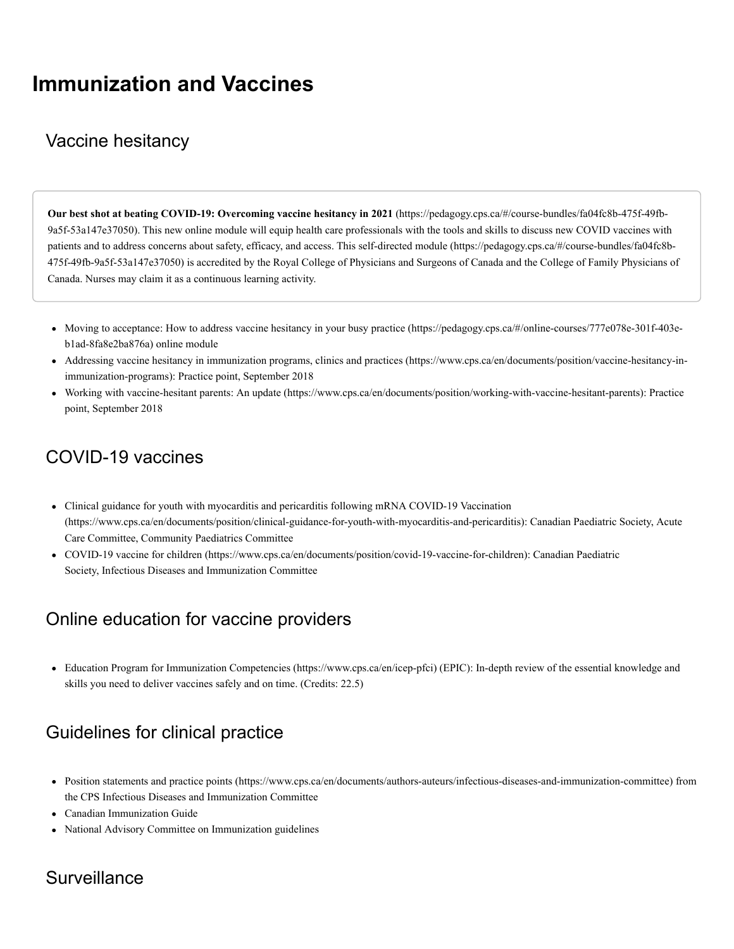# **Immunization and Vaccines**

### Vaccine hesitancy

**Our best shot at beating COVID-19: Overcoming vaccine hesitancy in 2021** (https://pedagogy.cps.ca/#/course-bundles/fa04fc8b-475f-49fb-[9a5f-53a147e37050\). This new online module will equip health care professionals with the tools and skills to discuss new COVID vaccines with](https://pedagogy.cps.ca/#/course-bundles/fa04fc8b-475f-49fb-9a5f-53a147e37050) patients and to address concerns about safety, efficacy, and access. This self-directed module (https://pedagogy.cps.ca/#/course-bundles/fa04fc8b-[475f-49fb-9a5f-53a147e37050\) is accredited by the Royal College of Physicians and Surgeons of Canada and the College of Family Physicians of](https://pedagogy.cps.ca/#/course-bundles/fa04fc8b-475f-49fb-9a5f-53a147e37050) Canada. Nurses may claim it as a continuous learning activity.

- Moving to acceptance: How to address vaccine hesitancy [in your busy practice \(https://pedagogy.cps.ca/#/online-courses/777e078e-301f-403e](https://pedagogy.cps.ca/#/online-courses/777e078e-301f-403e-b1ad-8fa8e2ba876a)b1ad-8fa8e2ba876a) online module
- [Addressing vaccine hesitancy in immunization programs, clinics and practices \(https://www.cps.ca/en/documents/position/vaccine-hesitancy-in](https://www.cps.ca/en/documents/position/vaccine-hesitancy-in-immunization-programs)immunization-programs): Practice point, September 2018
- [Working with vaccine-hesitant parents: An update \(https://www.cps.ca/en/documents/position/working-with-vaccine-hesitant-parents\)](https://www.cps.ca/en/documents/position/working-with-vaccine-hesitant-parents): Practice point, September 2018

### COVID-19 vaccines

- Clinical guidance for youth with myocarditis and pericarditis following mRNA COVID-19 Vaccination [\(https://www.cps.ca/en/documents/position/clinical-guidance-for-youth-with-myocarditis-and-pericarditis\):](https://www.cps.ca/en/documents/position/clinical-guidance-for-youth-with-myocarditis-and-pericarditis) Canadian Paediatric Society, Acute Care Committee, Community Paediatrics Committee
- [COVID-19 vaccine for children \(https://www.cps.ca/en/documents/position/covid-19-vaccine-for-children\)](https://www.cps.ca/en/documents/position/covid-19-vaccine-for-children): Canadian Paediatric Society, Infectious Diseases and Immunization Committee

### Online education for vaccine providers

[Education Program for Immunization Competencies \(https://www.cps.ca/en/icep-pfci\)](https://www.cps.ca/en/icep-pfci) (EPIC): In-depth review of the essential knowledge and skills you need to deliver vaccines safely and on time. (Credits: 22.5)

## Guidelines for clinical practice

- [Position statements and practice points \(https://www.cps.ca/en/documents/authors-auteurs/infectious-diseases-and-immunization-committee\)](https://www.cps.ca/en/documents/authors-auteurs/infectious-diseases-and-immunization-committee) from the CPS Infectious Diseases and Immunization Committee
- [Canadian Immunization Guide](http://www.phac-aspc.gc.ca/publicat/cig-gci/index-eng.php)
- [National Advisory Committee on Immunization guidelines](http://www.phac-aspc.gc.ca/naci-ccni/index-eng.php)

### **Surveillance**